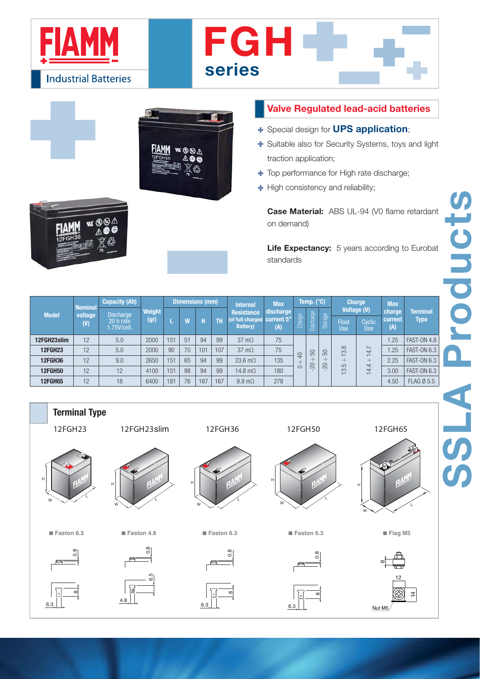





- Special design for **UPS application**;
- Suitable also for Security Systems, toys and light traction application;
- $\blacksquare$  Top performance for High rate discharge;
- $\blacksquare$  High consistency and reliability;

| <b>Model</b>                                                                    | <b>Nominal</b> | <b>Capacity (Ah)</b><br><b>Discharge</b> | <b>Weight</b> |     |                        |     |           |                                                           |                                |               |                                       |                           |                                           |                               |                          |                                |
|---------------------------------------------------------------------------------|----------------|------------------------------------------|---------------|-----|------------------------|-----|-----------|-----------------------------------------------------------|--------------------------------|---------------|---------------------------------------|---------------------------|-------------------------------------------|-------------------------------|--------------------------|--------------------------------|
|                                                                                 |                |                                          |               |     | <b>Dimensions (mm)</b> |     |           | <b>Internal</b>                                           | <b>Max</b>                     | Temp. (°C)    |                                       |                           | <b>Charge</b>                             |                               | <b>Max</b>               |                                |
| 12FGH23slim<br><b>12FGH23</b>                                                   | voltage<br>(V) | 20 h rate<br>1.75V/cell.                 | (gr)          | L   | W                      | H   | <b>TH</b> | <b>Resistance</b><br>(of full charged<br><b>Battery</b> ) | discharge<br>current 5"<br>(A) | Charge        | Discharge                             | Storage                   | <b>Voltage (V)</b><br>Float<br><b>Use</b> | Cyclic<br><b>Use</b>          | charge<br>current<br>(A) | <b>Terminal</b><br><b>Type</b> |
|                                                                                 | 12             | 5.0                                      | 2000          | 151 | 51                     | 94  | 99        | $37 \text{ m}\Omega$                                      | 75                             |               |                                       |                           |                                           | 1.25                          | <b>FAST-ON 4.8</b>       |                                |
|                                                                                 | 12             | 5.0                                      | 2000          | 90  | 70                     | 101 | 107       | $37 \text{ m}\Omega$                                      | 75                             | $\sqrt{4}$    | 50                                    | 50<br>$\cdot \cdot$<br>02 | 13.8<br>$\cdot \cdot$<br>5<br>$\sim$      | 14.7<br>$\cdot \cdot$<br>14.4 | 1.25                     | <b>FAST-ON 6.3</b>             |
| <b>12FGH36</b>                                                                  | 12             | 9.0                                      | 2650          | 151 | 65                     | 94  | 99        | 23.6 $m\Omega$                                            | 135                            | $\cdot \cdot$ | $\cdot \cdot \cdot$<br>$\overline{5}$ |                           |                                           |                               | 2.25                     | <b>FAST-ON 6.3</b>             |
| <b>12FGH50</b>                                                                  | 12             | 12                                       | 4100          | 151 | 98                     | 94  | 99        | 14.8 m $\Omega$                                           | 180                            | $\circ$       |                                       |                           |                                           |                               | 3.00                     | <b>FAST-ON 6.3</b>             |
| <b>12FGH65</b>                                                                  | 12             | 18                                       | 6400          | 181 | 76                     | 167 | 167       | $9.8 \text{ m}\Omega$                                     | 278                            |               |                                       |                           |                                           |                               | 4.50                     | FLAG Ø 5.5                     |
| <b>Terminal Type</b><br>12FGH23<br>12FGH65<br>12FGH23slim<br>12FGH36<br>12FGH50 |                |                                          |               |     |                        |     |           |                                                           |                                |               |                                       |                           |                                           |                               |                          |                                |